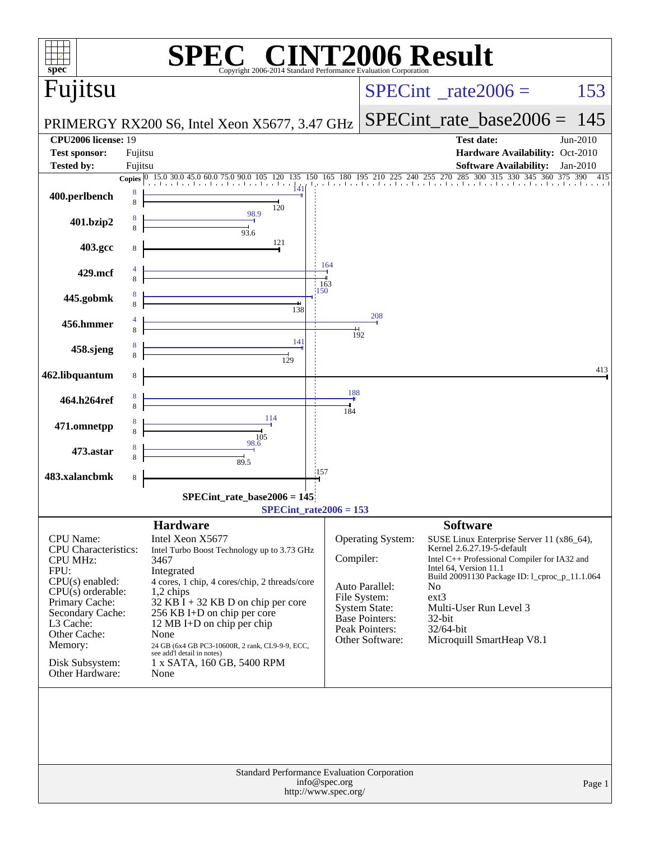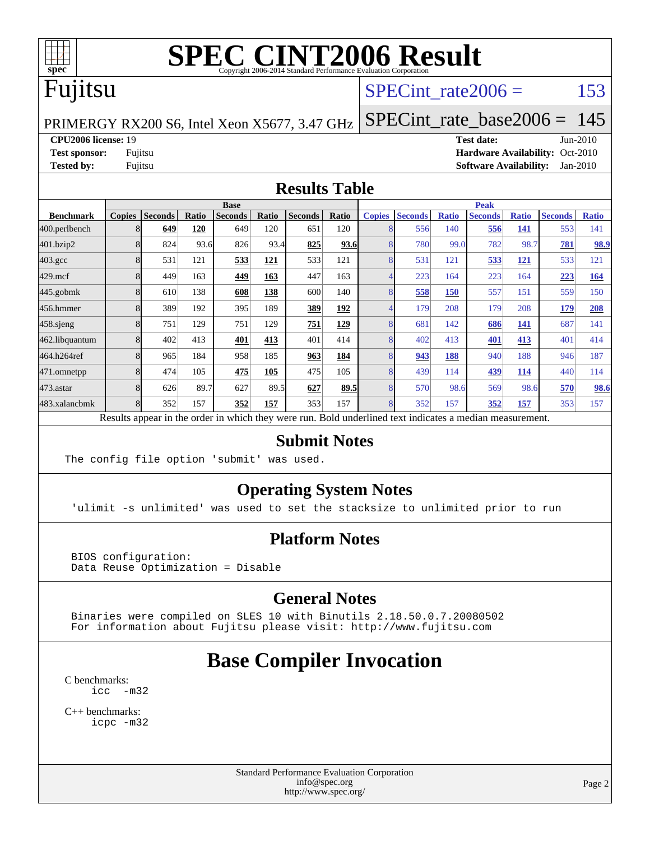

## Fujitsu

#### SPECint rate $2006 =$  153

PRIMERGY RX200 S6, Intel Xeon X5677, 3.47 GHz

[SPECint\\_rate\\_base2006 =](http://www.spec.org/auto/cpu2006/Docs/result-fields.html#SPECintratebase2006) 145

**[CPU2006 license:](http://www.spec.org/auto/cpu2006/Docs/result-fields.html#CPU2006license)** 19 **[Test date:](http://www.spec.org/auto/cpu2006/Docs/result-fields.html#Testdate)** Jun-2010

**[Test sponsor:](http://www.spec.org/auto/cpu2006/Docs/result-fields.html#Testsponsor)** Fujitsu **[Hardware Availability:](http://www.spec.org/auto/cpu2006/Docs/result-fields.html#HardwareAvailability)** Oct-2010 **[Tested by:](http://www.spec.org/auto/cpu2006/Docs/result-fields.html#Testedby)** Fujitsu **[Software Availability:](http://www.spec.org/auto/cpu2006/Docs/result-fields.html#SoftwareAvailability)** Jan-2010

#### **[Results Table](http://www.spec.org/auto/cpu2006/Docs/result-fields.html#ResultsTable)**

|                    | <b>Base</b>   |                |       |                |       |                |             | <b>Peak</b>   |                |              |                |              |                |              |
|--------------------|---------------|----------------|-------|----------------|-------|----------------|-------------|---------------|----------------|--------------|----------------|--------------|----------------|--------------|
| <b>Benchmark</b>   | <b>Copies</b> | <b>Seconds</b> | Ratio | <b>Seconds</b> | Ratio | <b>Seconds</b> | Ratio       | <b>Copies</b> | <b>Seconds</b> | <b>Ratio</b> | <b>Seconds</b> | <b>Ratio</b> | <b>Seconds</b> | <b>Ratio</b> |
| 400.perlbench      | 8             | 649            | 120   | 649            | 120   | 651            | 120         |               | 556            | 140          | 556            | 141          | 553            | 141          |
| 401.bzip2          | 8             | 824            | 93.6  | 826            | 93.4  | 825            | 93.6        |               | 780            | 99.0         | 782            | 98.7         | 781            | 98.9         |
| $403.\mathrm{gcc}$ |               | 531            | 121   | 533            | 121   | 533            | 121         |               | 531            | 121          | 533            | 121          | 533            | 121          |
| $429$ .mcf         | 8             | 449            | 163   | 449            | 163   | 447            | 163         |               | 223            | 164          | 223            | 164          | 223            | <b>164</b>   |
| $445$ .gobm $k$    | 8             | 610            | 138   | 608            | 138   | 600            | 140         |               | 558            | 150          | 557            | 151          | 559            | 150          |
| 456.hmmer          |               | 389            | 192   | 395            | 189   | 389            | <u>192</u>  |               | 179            | 208          | 179            | 208          | 179            | 208          |
| 458.sjeng          |               | 751            | 129   | 751            | 129   | 751            | <u>129</u>  |               | 681            | 142          | 686            | 141          | 687            | 141          |
| 462.libquantum     |               | 402            | 413   | 401            | 413   | 401            | 414         |               | 402            | 413          | 401            | 413          | 401            | 414          |
| 464.h264ref        | 8             | 965            | 184   | 958            | 185   | 963            | 184         |               | 943            | 188          | 940            | 188          | 946            | 187          |
| 471.omnetpp        |               | 474            | 105   | 475            | 105   | 475            | 105         |               | 439            | 114          | 439            | 114          | 440            | 114          |
| 473.astar          | 8             | 626            | 89.7  | 627            | 89.5  | 627            | <u>89.5</u> | 8             | 570            | 98.6         | 569            | 98.6         | 570            | 98.6         |
| 483.xalancbmk      |               | 352            | 157   | 352            | 157   | 353            | 157         |               | 352            | 157          | 352            | 157          | 353            | 157          |

Results appear in the [order in which they were run.](http://www.spec.org/auto/cpu2006/Docs/result-fields.html#RunOrder) Bold underlined text [indicates a median measurement.](http://www.spec.org/auto/cpu2006/Docs/result-fields.html#Median)

#### **[Submit Notes](http://www.spec.org/auto/cpu2006/Docs/result-fields.html#SubmitNotes)**

The config file option 'submit' was used.

#### **[Operating System Notes](http://www.spec.org/auto/cpu2006/Docs/result-fields.html#OperatingSystemNotes)**

'ulimit -s unlimited' was used to set the stacksize to unlimited prior to run

#### **[Platform Notes](http://www.spec.org/auto/cpu2006/Docs/result-fields.html#PlatformNotes)**

 BIOS configuration: Data Reuse Optimization = Disable

#### **[General Notes](http://www.spec.org/auto/cpu2006/Docs/result-fields.html#GeneralNotes)**

 Binaries were compiled on SLES 10 with Binutils 2.18.50.0.7.20080502 For information about Fujitsu please visit: <http://www.fujitsu.com>

### **[Base Compiler Invocation](http://www.spec.org/auto/cpu2006/Docs/result-fields.html#BaseCompilerInvocation)**

[C benchmarks](http://www.spec.org/auto/cpu2006/Docs/result-fields.html#Cbenchmarks): [icc -m32](http://www.spec.org/cpu2006/results/res2010q3/cpu2006-20100706-12304.flags.html#user_CCbase_intel_icc_32bit_5ff4a39e364c98233615fdd38438c6f2)

[C++ benchmarks:](http://www.spec.org/auto/cpu2006/Docs/result-fields.html#CXXbenchmarks) [icpc -m32](http://www.spec.org/cpu2006/results/res2010q3/cpu2006-20100706-12304.flags.html#user_CXXbase_intel_icpc_32bit_4e5a5ef1a53fd332b3c49e69c3330699)

> Standard Performance Evaluation Corporation [info@spec.org](mailto:info@spec.org) <http://www.spec.org/>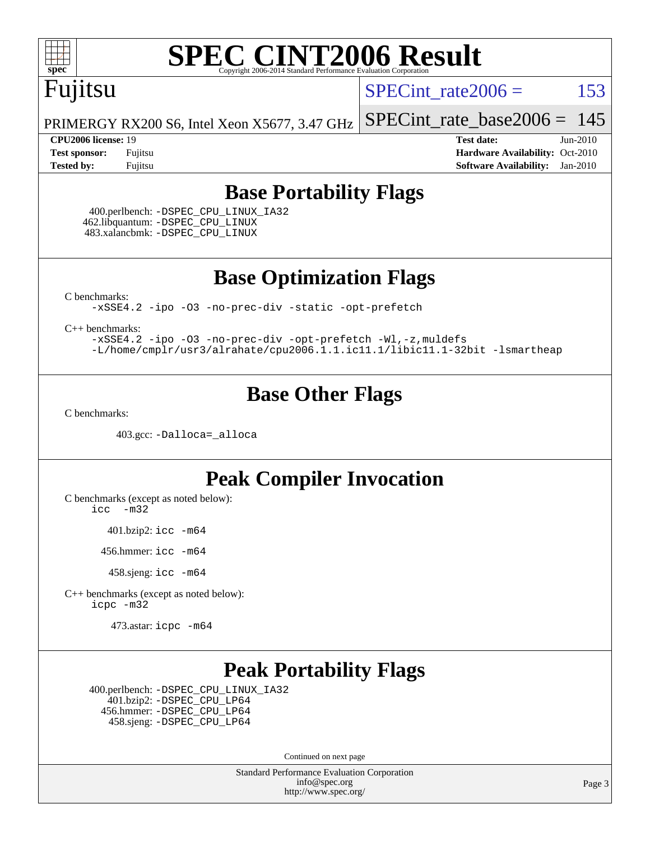

### Fujitsu

SPECint rate $2006 =$  153

[SPECint\\_rate\\_base2006 =](http://www.spec.org/auto/cpu2006/Docs/result-fields.html#SPECintratebase2006)  $145$ 

PRIMERGY RX200 S6, Intel Xeon X5677, 3.47 GHz

**[CPU2006 license:](http://www.spec.org/auto/cpu2006/Docs/result-fields.html#CPU2006license)** 19 **[Test date:](http://www.spec.org/auto/cpu2006/Docs/result-fields.html#Testdate)** Jun-2010 **[Test sponsor:](http://www.spec.org/auto/cpu2006/Docs/result-fields.html#Testsponsor)** Fujitsu **[Hardware Availability:](http://www.spec.org/auto/cpu2006/Docs/result-fields.html#HardwareAvailability)** Oct-2010 **[Tested by:](http://www.spec.org/auto/cpu2006/Docs/result-fields.html#Testedby)** Fujitsu **[Software Availability:](http://www.spec.org/auto/cpu2006/Docs/result-fields.html#SoftwareAvailability)** Jan-2010

#### **[Base Portability Flags](http://www.spec.org/auto/cpu2006/Docs/result-fields.html#BasePortabilityFlags)**

 400.perlbench: [-DSPEC\\_CPU\\_LINUX\\_IA32](http://www.spec.org/cpu2006/results/res2010q3/cpu2006-20100706-12304.flags.html#b400.perlbench_baseCPORTABILITY_DSPEC_CPU_LINUX_IA32) 462.libquantum: [-DSPEC\\_CPU\\_LINUX](http://www.spec.org/cpu2006/results/res2010q3/cpu2006-20100706-12304.flags.html#b462.libquantum_baseCPORTABILITY_DSPEC_CPU_LINUX) 483.xalancbmk: [-DSPEC\\_CPU\\_LINUX](http://www.spec.org/cpu2006/results/res2010q3/cpu2006-20100706-12304.flags.html#b483.xalancbmk_baseCXXPORTABILITY_DSPEC_CPU_LINUX)

**[Base Optimization Flags](http://www.spec.org/auto/cpu2006/Docs/result-fields.html#BaseOptimizationFlags)**

[C benchmarks](http://www.spec.org/auto/cpu2006/Docs/result-fields.html#Cbenchmarks):

[-xSSE4.2](http://www.spec.org/cpu2006/results/res2010q3/cpu2006-20100706-12304.flags.html#user_CCbase_f-xSSE42_f91528193cf0b216347adb8b939d4107) [-ipo](http://www.spec.org/cpu2006/results/res2010q3/cpu2006-20100706-12304.flags.html#user_CCbase_f-ipo) [-O3](http://www.spec.org/cpu2006/results/res2010q3/cpu2006-20100706-12304.flags.html#user_CCbase_f-O3) [-no-prec-div](http://www.spec.org/cpu2006/results/res2010q3/cpu2006-20100706-12304.flags.html#user_CCbase_f-no-prec-div) [-static](http://www.spec.org/cpu2006/results/res2010q3/cpu2006-20100706-12304.flags.html#user_CCbase_f-static) [-opt-prefetch](http://www.spec.org/cpu2006/results/res2010q3/cpu2006-20100706-12304.flags.html#user_CCbase_f-opt-prefetch)

[C++ benchmarks:](http://www.spec.org/auto/cpu2006/Docs/result-fields.html#CXXbenchmarks)

[-xSSE4.2](http://www.spec.org/cpu2006/results/res2010q3/cpu2006-20100706-12304.flags.html#user_CXXbase_f-xSSE42_f91528193cf0b216347adb8b939d4107) [-ipo](http://www.spec.org/cpu2006/results/res2010q3/cpu2006-20100706-12304.flags.html#user_CXXbase_f-ipo) [-O3](http://www.spec.org/cpu2006/results/res2010q3/cpu2006-20100706-12304.flags.html#user_CXXbase_f-O3) [-no-prec-div](http://www.spec.org/cpu2006/results/res2010q3/cpu2006-20100706-12304.flags.html#user_CXXbase_f-no-prec-div) [-opt-prefetch](http://www.spec.org/cpu2006/results/res2010q3/cpu2006-20100706-12304.flags.html#user_CXXbase_f-opt-prefetch) [-Wl,-z,muldefs](http://www.spec.org/cpu2006/results/res2010q3/cpu2006-20100706-12304.flags.html#user_CXXbase_link_force_multiple1_74079c344b956b9658436fd1b6dd3a8a) [-L/home/cmplr/usr3/alrahate/cpu2006.1.1.ic11.1/libic11.1-32bit -lsmartheap](http://www.spec.org/cpu2006/results/res2010q3/cpu2006-20100706-12304.flags.html#user_CXXbase_SmartHeap_d86dffe4a79b79ef8890d5cce17030c3)

#### **[Base Other Flags](http://www.spec.org/auto/cpu2006/Docs/result-fields.html#BaseOtherFlags)**

[C benchmarks](http://www.spec.org/auto/cpu2006/Docs/result-fields.html#Cbenchmarks):

403.gcc: [-Dalloca=\\_alloca](http://www.spec.org/cpu2006/results/res2010q3/cpu2006-20100706-12304.flags.html#b403.gcc_baseEXTRA_CFLAGS_Dalloca_be3056838c12de2578596ca5467af7f3)

#### **[Peak Compiler Invocation](http://www.spec.org/auto/cpu2006/Docs/result-fields.html#PeakCompilerInvocation)**

[C benchmarks \(except as noted below\)](http://www.spec.org/auto/cpu2006/Docs/result-fields.html#Cbenchmarksexceptasnotedbelow):

[icc -m32](http://www.spec.org/cpu2006/results/res2010q3/cpu2006-20100706-12304.flags.html#user_CCpeak_intel_icc_32bit_5ff4a39e364c98233615fdd38438c6f2)

401.bzip2: [icc -m64](http://www.spec.org/cpu2006/results/res2010q3/cpu2006-20100706-12304.flags.html#user_peakCCLD401_bzip2_intel_icc_64bit_bda6cc9af1fdbb0edc3795bac97ada53)

456.hmmer: [icc -m64](http://www.spec.org/cpu2006/results/res2010q3/cpu2006-20100706-12304.flags.html#user_peakCCLD456_hmmer_intel_icc_64bit_bda6cc9af1fdbb0edc3795bac97ada53)

458.sjeng: [icc -m64](http://www.spec.org/cpu2006/results/res2010q3/cpu2006-20100706-12304.flags.html#user_peakCCLD458_sjeng_intel_icc_64bit_bda6cc9af1fdbb0edc3795bac97ada53)

[C++ benchmarks \(except as noted below\):](http://www.spec.org/auto/cpu2006/Docs/result-fields.html#CXXbenchmarksexceptasnotedbelow) [icpc -m32](http://www.spec.org/cpu2006/results/res2010q3/cpu2006-20100706-12304.flags.html#user_CXXpeak_intel_icpc_32bit_4e5a5ef1a53fd332b3c49e69c3330699)

473.astar: [icpc -m64](http://www.spec.org/cpu2006/results/res2010q3/cpu2006-20100706-12304.flags.html#user_peakCXXLD473_astar_intel_icpc_64bit_fc66a5337ce925472a5c54ad6a0de310)

#### **[Peak Portability Flags](http://www.spec.org/auto/cpu2006/Docs/result-fields.html#PeakPortabilityFlags)**

 400.perlbench: [-DSPEC\\_CPU\\_LINUX\\_IA32](http://www.spec.org/cpu2006/results/res2010q3/cpu2006-20100706-12304.flags.html#b400.perlbench_peakCPORTABILITY_DSPEC_CPU_LINUX_IA32) 401.bzip2: [-DSPEC\\_CPU\\_LP64](http://www.spec.org/cpu2006/results/res2010q3/cpu2006-20100706-12304.flags.html#suite_peakCPORTABILITY401_bzip2_DSPEC_CPU_LP64) 456.hmmer: [-DSPEC\\_CPU\\_LP64](http://www.spec.org/cpu2006/results/res2010q3/cpu2006-20100706-12304.flags.html#suite_peakCPORTABILITY456_hmmer_DSPEC_CPU_LP64) 458.sjeng: [-DSPEC\\_CPU\\_LP64](http://www.spec.org/cpu2006/results/res2010q3/cpu2006-20100706-12304.flags.html#suite_peakCPORTABILITY458_sjeng_DSPEC_CPU_LP64)

Continued on next page

Standard Performance Evaluation Corporation [info@spec.org](mailto:info@spec.org) <http://www.spec.org/>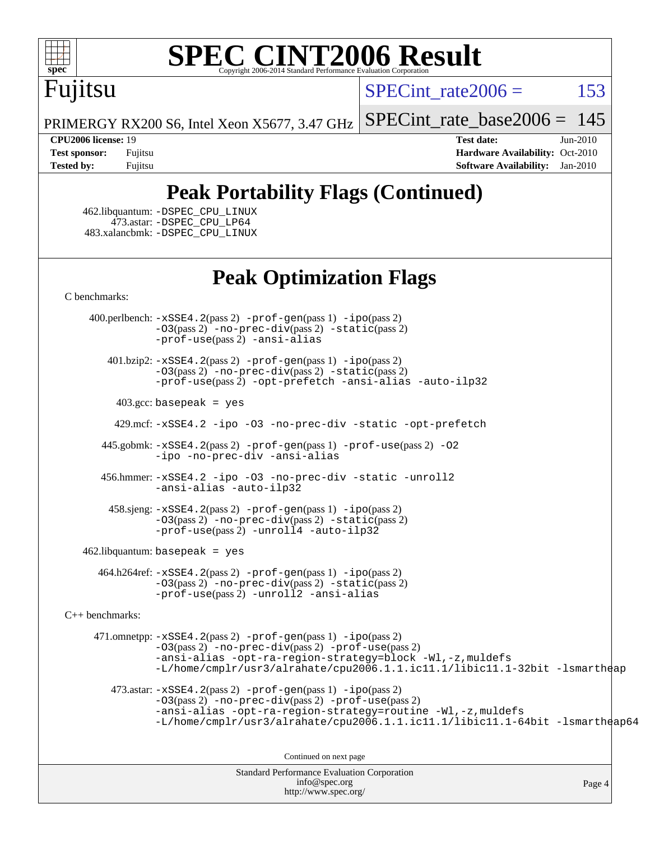

# Fujitsu

SPECint rate $2006 = 153$ 

PRIMERGY RX200 S6, Intel Xeon X5677, 3.47 GHz [SPECint\\_rate\\_base2006 =](http://www.spec.org/auto/cpu2006/Docs/result-fields.html#SPECintratebase2006)  $145$ 

**[CPU2006 license:](http://www.spec.org/auto/cpu2006/Docs/result-fields.html#CPU2006license)** 19 **[Test date:](http://www.spec.org/auto/cpu2006/Docs/result-fields.html#Testdate)** Jun-2010 **[Test sponsor:](http://www.spec.org/auto/cpu2006/Docs/result-fields.html#Testsponsor)** Fujitsu **[Hardware Availability:](http://www.spec.org/auto/cpu2006/Docs/result-fields.html#HardwareAvailability)** Oct-2010 **[Tested by:](http://www.spec.org/auto/cpu2006/Docs/result-fields.html#Testedby)** Fujitsu **[Software Availability:](http://www.spec.org/auto/cpu2006/Docs/result-fields.html#SoftwareAvailability)** Jan-2010

#### **[Peak Portability Flags \(Continued\)](http://www.spec.org/auto/cpu2006/Docs/result-fields.html#PeakPortabilityFlags)**

 462.libquantum: [-DSPEC\\_CPU\\_LINUX](http://www.spec.org/cpu2006/results/res2010q3/cpu2006-20100706-12304.flags.html#b462.libquantum_peakCPORTABILITY_DSPEC_CPU_LINUX) 473.astar: [-DSPEC\\_CPU\\_LP64](http://www.spec.org/cpu2006/results/res2010q3/cpu2006-20100706-12304.flags.html#suite_peakCXXPORTABILITY473_astar_DSPEC_CPU_LP64) 483.xalancbmk: [-DSPEC\\_CPU\\_LINUX](http://www.spec.org/cpu2006/results/res2010q3/cpu2006-20100706-12304.flags.html#b483.xalancbmk_peakCXXPORTABILITY_DSPEC_CPU_LINUX)

#### **[Peak Optimization Flags](http://www.spec.org/auto/cpu2006/Docs/result-fields.html#PeakOptimizationFlags)**

[C benchmarks](http://www.spec.org/auto/cpu2006/Docs/result-fields.html#Cbenchmarks):

 400.perlbench: [-xSSE4.2](http://www.spec.org/cpu2006/results/res2010q3/cpu2006-20100706-12304.flags.html#user_peakPASS2_CFLAGSPASS2_LDCFLAGS400_perlbench_f-xSSE42_f91528193cf0b216347adb8b939d4107)(pass 2) [-prof-gen](http://www.spec.org/cpu2006/results/res2010q3/cpu2006-20100706-12304.flags.html#user_peakPASS1_CFLAGSPASS1_LDCFLAGS400_perlbench_prof_gen_e43856698f6ca7b7e442dfd80e94a8fc)(pass 1) [-ipo](http://www.spec.org/cpu2006/results/res2010q3/cpu2006-20100706-12304.flags.html#user_peakPASS2_CFLAGSPASS2_LDCFLAGS400_perlbench_f-ipo)(pass 2) [-O3](http://www.spec.org/cpu2006/results/res2010q3/cpu2006-20100706-12304.flags.html#user_peakPASS2_CFLAGSPASS2_LDCFLAGS400_perlbench_f-O3)(pass 2) [-no-prec-div](http://www.spec.org/cpu2006/results/res2010q3/cpu2006-20100706-12304.flags.html#user_peakPASS2_CFLAGSPASS2_LDCFLAGS400_perlbench_f-no-prec-div)(pass 2) [-static](http://www.spec.org/cpu2006/results/res2010q3/cpu2006-20100706-12304.flags.html#user_peakPASS2_CFLAGSPASS2_LDCFLAGS400_perlbench_f-static)(pass 2) [-prof-use](http://www.spec.org/cpu2006/results/res2010q3/cpu2006-20100706-12304.flags.html#user_peakPASS2_CFLAGSPASS2_LDCFLAGS400_perlbench_prof_use_bccf7792157ff70d64e32fe3e1250b55)(pass 2) [-ansi-alias](http://www.spec.org/cpu2006/results/res2010q3/cpu2006-20100706-12304.flags.html#user_peakCOPTIMIZE400_perlbench_f-ansi-alias)

 401.bzip2: [-xSSE4.2](http://www.spec.org/cpu2006/results/res2010q3/cpu2006-20100706-12304.flags.html#user_peakPASS2_CFLAGSPASS2_LDCFLAGS401_bzip2_f-xSSE42_f91528193cf0b216347adb8b939d4107)(pass 2) [-prof-gen](http://www.spec.org/cpu2006/results/res2010q3/cpu2006-20100706-12304.flags.html#user_peakPASS1_CFLAGSPASS1_LDCFLAGS401_bzip2_prof_gen_e43856698f6ca7b7e442dfd80e94a8fc)(pass 1) [-ipo](http://www.spec.org/cpu2006/results/res2010q3/cpu2006-20100706-12304.flags.html#user_peakPASS2_CFLAGSPASS2_LDCFLAGS401_bzip2_f-ipo)(pass 2) [-O3](http://www.spec.org/cpu2006/results/res2010q3/cpu2006-20100706-12304.flags.html#user_peakPASS2_CFLAGSPASS2_LDCFLAGS401_bzip2_f-O3)(pass 2) [-no-prec-div](http://www.spec.org/cpu2006/results/res2010q3/cpu2006-20100706-12304.flags.html#user_peakPASS2_CFLAGSPASS2_LDCFLAGS401_bzip2_f-no-prec-div)(pass 2) [-static](http://www.spec.org/cpu2006/results/res2010q3/cpu2006-20100706-12304.flags.html#user_peakPASS2_CFLAGSPASS2_LDCFLAGS401_bzip2_f-static)(pass 2) [-prof-use](http://www.spec.org/cpu2006/results/res2010q3/cpu2006-20100706-12304.flags.html#user_peakPASS2_CFLAGSPASS2_LDCFLAGS401_bzip2_prof_use_bccf7792157ff70d64e32fe3e1250b55)(pass 2) [-opt-prefetch](http://www.spec.org/cpu2006/results/res2010q3/cpu2006-20100706-12304.flags.html#user_peakCOPTIMIZE401_bzip2_f-opt-prefetch) [-ansi-alias](http://www.spec.org/cpu2006/results/res2010q3/cpu2006-20100706-12304.flags.html#user_peakCOPTIMIZE401_bzip2_f-ansi-alias) [-auto-ilp32](http://www.spec.org/cpu2006/results/res2010q3/cpu2006-20100706-12304.flags.html#user_peakCOPTIMIZE401_bzip2_f-auto-ilp32)

 $403.\text{gcc: basepeak}$  = yes

429.mcf: [-xSSE4.2](http://www.spec.org/cpu2006/results/res2010q3/cpu2006-20100706-12304.flags.html#user_peakCOPTIMIZE429_mcf_f-xSSE42_f91528193cf0b216347adb8b939d4107) [-ipo](http://www.spec.org/cpu2006/results/res2010q3/cpu2006-20100706-12304.flags.html#user_peakCOPTIMIZE429_mcf_f-ipo) [-O3](http://www.spec.org/cpu2006/results/res2010q3/cpu2006-20100706-12304.flags.html#user_peakCOPTIMIZE429_mcf_f-O3) [-no-prec-div](http://www.spec.org/cpu2006/results/res2010q3/cpu2006-20100706-12304.flags.html#user_peakCOPTIMIZE429_mcf_f-no-prec-div) [-static](http://www.spec.org/cpu2006/results/res2010q3/cpu2006-20100706-12304.flags.html#user_peakCOPTIMIZE429_mcf_f-static) [-opt-prefetch](http://www.spec.org/cpu2006/results/res2010q3/cpu2006-20100706-12304.flags.html#user_peakCOPTIMIZE429_mcf_f-opt-prefetch)

 445.gobmk: [-xSSE4.2](http://www.spec.org/cpu2006/results/res2010q3/cpu2006-20100706-12304.flags.html#user_peakPASS2_CFLAGSPASS2_LDCFLAGS445_gobmk_f-xSSE42_f91528193cf0b216347adb8b939d4107)(pass 2) [-prof-gen](http://www.spec.org/cpu2006/results/res2010q3/cpu2006-20100706-12304.flags.html#user_peakPASS1_CFLAGSPASS1_LDCFLAGS445_gobmk_prof_gen_e43856698f6ca7b7e442dfd80e94a8fc)(pass 1) [-prof-use](http://www.spec.org/cpu2006/results/res2010q3/cpu2006-20100706-12304.flags.html#user_peakPASS2_CFLAGSPASS2_LDCFLAGS445_gobmk_prof_use_bccf7792157ff70d64e32fe3e1250b55)(pass 2) [-O2](http://www.spec.org/cpu2006/results/res2010q3/cpu2006-20100706-12304.flags.html#user_peakCOPTIMIZE445_gobmk_f-O2) [-ipo](http://www.spec.org/cpu2006/results/res2010q3/cpu2006-20100706-12304.flags.html#user_peakCOPTIMIZE445_gobmk_f-ipo) [-no-prec-div](http://www.spec.org/cpu2006/results/res2010q3/cpu2006-20100706-12304.flags.html#user_peakCOPTIMIZE445_gobmk_f-no-prec-div) [-ansi-alias](http://www.spec.org/cpu2006/results/res2010q3/cpu2006-20100706-12304.flags.html#user_peakCOPTIMIZE445_gobmk_f-ansi-alias)

 456.hmmer: [-xSSE4.2](http://www.spec.org/cpu2006/results/res2010q3/cpu2006-20100706-12304.flags.html#user_peakCOPTIMIZE456_hmmer_f-xSSE42_f91528193cf0b216347adb8b939d4107) [-ipo](http://www.spec.org/cpu2006/results/res2010q3/cpu2006-20100706-12304.flags.html#user_peakCOPTIMIZE456_hmmer_f-ipo) [-O3](http://www.spec.org/cpu2006/results/res2010q3/cpu2006-20100706-12304.flags.html#user_peakCOPTIMIZE456_hmmer_f-O3) [-no-prec-div](http://www.spec.org/cpu2006/results/res2010q3/cpu2006-20100706-12304.flags.html#user_peakCOPTIMIZE456_hmmer_f-no-prec-div) [-static](http://www.spec.org/cpu2006/results/res2010q3/cpu2006-20100706-12304.flags.html#user_peakCOPTIMIZE456_hmmer_f-static) [-unroll2](http://www.spec.org/cpu2006/results/res2010q3/cpu2006-20100706-12304.flags.html#user_peakCOPTIMIZE456_hmmer_f-unroll_784dae83bebfb236979b41d2422d7ec2) [-ansi-alias](http://www.spec.org/cpu2006/results/res2010q3/cpu2006-20100706-12304.flags.html#user_peakCOPTIMIZE456_hmmer_f-ansi-alias) [-auto-ilp32](http://www.spec.org/cpu2006/results/res2010q3/cpu2006-20100706-12304.flags.html#user_peakCOPTIMIZE456_hmmer_f-auto-ilp32)

 458.sjeng: [-xSSE4.2](http://www.spec.org/cpu2006/results/res2010q3/cpu2006-20100706-12304.flags.html#user_peakPASS2_CFLAGSPASS2_LDCFLAGS458_sjeng_f-xSSE42_f91528193cf0b216347adb8b939d4107)(pass 2) [-prof-gen](http://www.spec.org/cpu2006/results/res2010q3/cpu2006-20100706-12304.flags.html#user_peakPASS1_CFLAGSPASS1_LDCFLAGS458_sjeng_prof_gen_e43856698f6ca7b7e442dfd80e94a8fc)(pass 1) [-ipo](http://www.spec.org/cpu2006/results/res2010q3/cpu2006-20100706-12304.flags.html#user_peakPASS2_CFLAGSPASS2_LDCFLAGS458_sjeng_f-ipo)(pass 2) [-O3](http://www.spec.org/cpu2006/results/res2010q3/cpu2006-20100706-12304.flags.html#user_peakPASS2_CFLAGSPASS2_LDCFLAGS458_sjeng_f-O3)(pass 2) [-no-prec-div](http://www.spec.org/cpu2006/results/res2010q3/cpu2006-20100706-12304.flags.html#user_peakPASS2_CFLAGSPASS2_LDCFLAGS458_sjeng_f-no-prec-div)(pass 2) [-static](http://www.spec.org/cpu2006/results/res2010q3/cpu2006-20100706-12304.flags.html#user_peakPASS2_CFLAGSPASS2_LDCFLAGS458_sjeng_f-static)(pass 2)  $-prof-use(pass 2) -unroll4 -auto-ilp32$  $-prof-use(pass 2) -unroll4 -auto-ilp32$  $-prof-use(pass 2) -unroll4 -auto-ilp32$  $-prof-use(pass 2) -unroll4 -auto-ilp32$  $-prof-use(pass 2) -unroll4 -auto-ilp32$ 

462.libquantum: basepeak = yes

 464.h264ref: [-xSSE4.2](http://www.spec.org/cpu2006/results/res2010q3/cpu2006-20100706-12304.flags.html#user_peakPASS2_CFLAGSPASS2_LDCFLAGS464_h264ref_f-xSSE42_f91528193cf0b216347adb8b939d4107)(pass 2) [-prof-gen](http://www.spec.org/cpu2006/results/res2010q3/cpu2006-20100706-12304.flags.html#user_peakPASS1_CFLAGSPASS1_LDCFLAGS464_h264ref_prof_gen_e43856698f6ca7b7e442dfd80e94a8fc)(pass 1) [-ipo](http://www.spec.org/cpu2006/results/res2010q3/cpu2006-20100706-12304.flags.html#user_peakPASS2_CFLAGSPASS2_LDCFLAGS464_h264ref_f-ipo)(pass 2) [-O3](http://www.spec.org/cpu2006/results/res2010q3/cpu2006-20100706-12304.flags.html#user_peakPASS2_CFLAGSPASS2_LDCFLAGS464_h264ref_f-O3)(pass 2) [-no-prec-div](http://www.spec.org/cpu2006/results/res2010q3/cpu2006-20100706-12304.flags.html#user_peakPASS2_CFLAGSPASS2_LDCFLAGS464_h264ref_f-no-prec-div)(pass 2) [-static](http://www.spec.org/cpu2006/results/res2010q3/cpu2006-20100706-12304.flags.html#user_peakPASS2_CFLAGSPASS2_LDCFLAGS464_h264ref_f-static)(pass 2) [-prof-use](http://www.spec.org/cpu2006/results/res2010q3/cpu2006-20100706-12304.flags.html#user_peakPASS2_CFLAGSPASS2_LDCFLAGS464_h264ref_prof_use_bccf7792157ff70d64e32fe3e1250b55)(pass 2) [-unroll2](http://www.spec.org/cpu2006/results/res2010q3/cpu2006-20100706-12304.flags.html#user_peakCOPTIMIZE464_h264ref_f-unroll_784dae83bebfb236979b41d2422d7ec2) [-ansi-alias](http://www.spec.org/cpu2006/results/res2010q3/cpu2006-20100706-12304.flags.html#user_peakCOPTIMIZE464_h264ref_f-ansi-alias)

[C++ benchmarks:](http://www.spec.org/auto/cpu2006/Docs/result-fields.html#CXXbenchmarks)

 471.omnetpp: [-xSSE4.2](http://www.spec.org/cpu2006/results/res2010q3/cpu2006-20100706-12304.flags.html#user_peakPASS2_CXXFLAGSPASS2_LDCXXFLAGS471_omnetpp_f-xSSE42_f91528193cf0b216347adb8b939d4107)(pass 2) [-prof-gen](http://www.spec.org/cpu2006/results/res2010q3/cpu2006-20100706-12304.flags.html#user_peakPASS1_CXXFLAGSPASS1_LDCXXFLAGS471_omnetpp_prof_gen_e43856698f6ca7b7e442dfd80e94a8fc)(pass 1) [-ipo](http://www.spec.org/cpu2006/results/res2010q3/cpu2006-20100706-12304.flags.html#user_peakPASS2_CXXFLAGSPASS2_LDCXXFLAGS471_omnetpp_f-ipo)(pass 2) [-O3](http://www.spec.org/cpu2006/results/res2010q3/cpu2006-20100706-12304.flags.html#user_peakPASS2_CXXFLAGSPASS2_LDCXXFLAGS471_omnetpp_f-O3)(pass 2) [-no-prec-div](http://www.spec.org/cpu2006/results/res2010q3/cpu2006-20100706-12304.flags.html#user_peakPASS2_CXXFLAGSPASS2_LDCXXFLAGS471_omnetpp_f-no-prec-div)(pass 2) [-prof-use](http://www.spec.org/cpu2006/results/res2010q3/cpu2006-20100706-12304.flags.html#user_peakPASS2_CXXFLAGSPASS2_LDCXXFLAGS471_omnetpp_prof_use_bccf7792157ff70d64e32fe3e1250b55)(pass 2) [-ansi-alias](http://www.spec.org/cpu2006/results/res2010q3/cpu2006-20100706-12304.flags.html#user_peakCXXOPTIMIZE471_omnetpp_f-ansi-alias) [-opt-ra-region-strategy=block](http://www.spec.org/cpu2006/results/res2010q3/cpu2006-20100706-12304.flags.html#user_peakCXXOPTIMIZE471_omnetpp_f-opt-ra-region-strategy-block_a0a37c372d03933b2a18d4af463c1f69) [-Wl,-z,muldefs](http://www.spec.org/cpu2006/results/res2010q3/cpu2006-20100706-12304.flags.html#user_peakEXTRA_LDFLAGS471_omnetpp_link_force_multiple1_74079c344b956b9658436fd1b6dd3a8a) [-L/home/cmplr/usr3/alrahate/cpu2006.1.1.ic11.1/libic11.1-32bit -lsmartheap](http://www.spec.org/cpu2006/results/res2010q3/cpu2006-20100706-12304.flags.html#user_peakEXTRA_LIBS471_omnetpp_SmartHeap_d86dffe4a79b79ef8890d5cce17030c3)

473.astar:  $-xSSE4$ . 2(pass 2)  $-prof-gen(pass 1) -ipo(pass 2)$  $-prof-gen(pass 1) -ipo(pass 2)$  $-prof-gen(pass 1) -ipo(pass 2)$  $-prof-gen(pass 1) -ipo(pass 2)$ [-O3](http://www.spec.org/cpu2006/results/res2010q3/cpu2006-20100706-12304.flags.html#user_peakPASS2_CXXFLAGSPASS2_LDCXXFLAGS473_astar_f-O3)(pass 2) [-no-prec-div](http://www.spec.org/cpu2006/results/res2010q3/cpu2006-20100706-12304.flags.html#user_peakPASS2_CXXFLAGSPASS2_LDCXXFLAGS473_astar_f-no-prec-div)(pass 2) [-prof-use](http://www.spec.org/cpu2006/results/res2010q3/cpu2006-20100706-12304.flags.html#user_peakPASS2_CXXFLAGSPASS2_LDCXXFLAGS473_astar_prof_use_bccf7792157ff70d64e32fe3e1250b55)(pass 2) [-ansi-alias](http://www.spec.org/cpu2006/results/res2010q3/cpu2006-20100706-12304.flags.html#user_peakCXXOPTIMIZE473_astar_f-ansi-alias) [-opt-ra-region-strategy=routine](http://www.spec.org/cpu2006/results/res2010q3/cpu2006-20100706-12304.flags.html#user_peakCXXOPTIMIZE473_astar_f-opt-ra-region-strategy-routine_ba086ea3b1d46a52e1238e2ca173ed44) [-Wl,-z,muldefs](http://www.spec.org/cpu2006/results/res2010q3/cpu2006-20100706-12304.flags.html#user_peakEXTRA_LDFLAGS473_astar_link_force_multiple1_74079c344b956b9658436fd1b6dd3a8a) [-L/home/cmplr/usr3/alrahate/cpu2006.1.1.ic11.1/libic11.1-64bit -lsmartheap64](http://www.spec.org/cpu2006/results/res2010q3/cpu2006-20100706-12304.flags.html#user_peakEXTRA_LIBS473_astar_SmartHeap64_e2306cda84805d1ab360117a79ff779c)

Continued on next page

Standard Performance Evaluation Corporation [info@spec.org](mailto:info@spec.org) <http://www.spec.org/>

Page 4